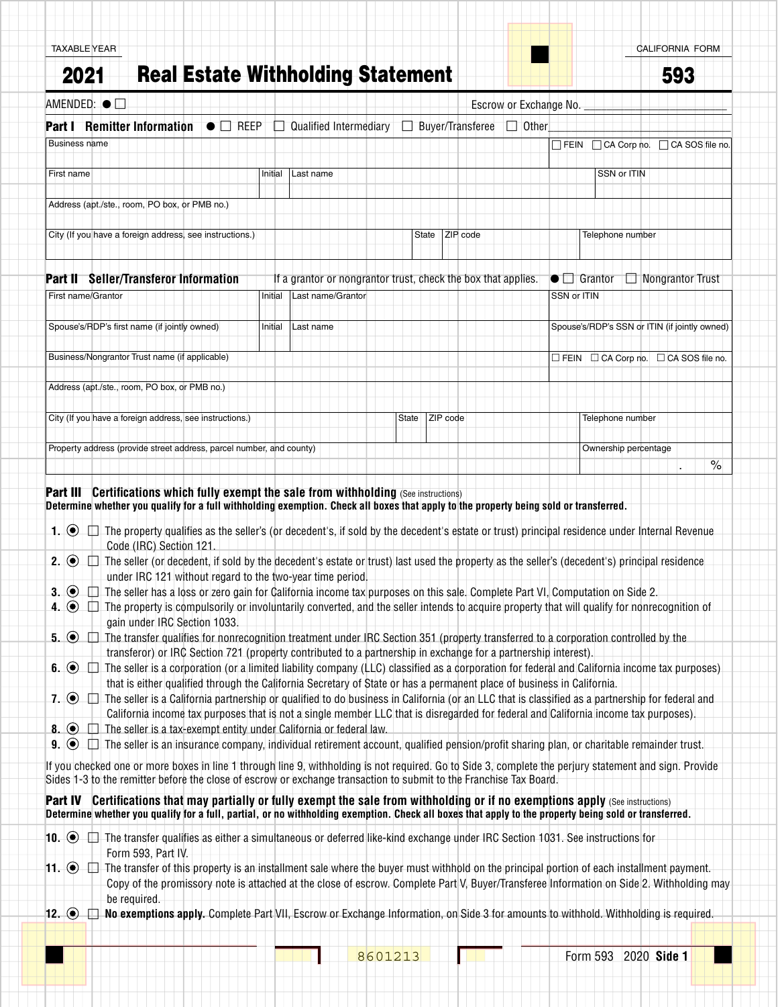| AMENDED: $\bullet$ $\Box$                                                                                                                                                                                                   |                                                     |                                                                                                                              |                                                                                                                                                        |  |
|-----------------------------------------------------------------------------------------------------------------------------------------------------------------------------------------------------------------------------|-----------------------------------------------------|------------------------------------------------------------------------------------------------------------------------------|--------------------------------------------------------------------------------------------------------------------------------------------------------|--|
|                                                                                                                                                                                                                             |                                                     | Escrow or Exchange No.                                                                                                       |                                                                                                                                                        |  |
| <b>Part I</b> Remitter Information                                                                                                                                                                                          | $\bullet$ $\Box$ REEP $\Box$ Qualified Intermediary | Buyer/Transferee                                                                                                             | $\Box$ Other                                                                                                                                           |  |
| <b>Business name</b>                                                                                                                                                                                                        |                                                     |                                                                                                                              | $\Box$ FEIN $\Box$ CA Corp no. $\Box$ CA SOS file no.                                                                                                  |  |
| First name                                                                                                                                                                                                                  | Initial<br>Last name                                |                                                                                                                              | SSN or ITIN                                                                                                                                            |  |
| Address (apt./ste., room, PO box, or PMB no.)                                                                                                                                                                               |                                                     |                                                                                                                              |                                                                                                                                                        |  |
|                                                                                                                                                                                                                             |                                                     |                                                                                                                              |                                                                                                                                                        |  |
| City (If you have a foreign address, see instructions.)                                                                                                                                                                     |                                                     | ZIP code<br>State                                                                                                            | Telephone number                                                                                                                                       |  |
| <b>Part II</b> Seller/Transferor Information                                                                                                                                                                                |                                                     | If a grantor or nongrantor trust, check the box that applies.                                                                | $\bullet$ $\Box$ Grantor<br>$\Box$ Nongrantor Trust                                                                                                    |  |
| First name/Grantor                                                                                                                                                                                                          | Last name/Grantor<br>Initial                        |                                                                                                                              | SSN or ITIN                                                                                                                                            |  |
|                                                                                                                                                                                                                             |                                                     |                                                                                                                              |                                                                                                                                                        |  |
| Spouse's/RDP's first name (if jointly owned)                                                                                                                                                                                | Initial<br>Last name                                |                                                                                                                              | Spouse's/RDP's SSN or ITIN (if jointly owned)                                                                                                          |  |
| Business/Nongrantor Trust name (if applicable)                                                                                                                                                                              |                                                     |                                                                                                                              | $\Box$ FEIN $\Box$ CA Corp no. $\Box$ CA SOS file no.                                                                                                  |  |
| Address (apt./ste., room, PO box, or PMB no.)                                                                                                                                                                               |                                                     |                                                                                                                              |                                                                                                                                                        |  |
| City (If you have a foreign address, see instructions.)                                                                                                                                                                     |                                                     | ZIP code<br>State                                                                                                            | Telephone number                                                                                                                                       |  |
|                                                                                                                                                                                                                             |                                                     |                                                                                                                              |                                                                                                                                                        |  |
| Property address (provide street address, parcel number, and county)                                                                                                                                                        |                                                     |                                                                                                                              | Ownership percentage                                                                                                                                   |  |
|                                                                                                                                                                                                                             |                                                     |                                                                                                                              |                                                                                                                                                        |  |
|                                                                                                                                                                                                                             |                                                     |                                                                                                                              | $\%$                                                                                                                                                   |  |
| <b>Part III Certifications which fully exempt the sale from withholding (See instructions)</b>                                                                                                                              |                                                     |                                                                                                                              |                                                                                                                                                        |  |
| Determine whether you qualify for a full withholding exemption. Check all boxes that apply to the property being sold or transferred.                                                                                       |                                                     |                                                                                                                              |                                                                                                                                                        |  |
|                                                                                                                                                                                                                             |                                                     |                                                                                                                              |                                                                                                                                                        |  |
| Code (IRC) Section 121.                                                                                                                                                                                                     |                                                     |                                                                                                                              | The seller (or decedent, if sold by the decedent's estate or trust) last used the property as the seller's (decedent's) principal residence            |  |
| under IRC 121 without regard to the two-year time period                                                                                                                                                                    |                                                     |                                                                                                                              |                                                                                                                                                        |  |
|                                                                                                                                                                                                                             |                                                     | The seller has a loss or zero gain for California income tax purposes on this sale. Complete Part VI, Computation on Side 2. |                                                                                                                                                        |  |
| 1. $\odot$ $\Box$ The property qualifies as the seller's (or decedent's, if sold by the decedent's estate or trust) principal residence under Internal Revenue<br>2. $\odot$ $\Box$<br>$3.$ (e) $\Box$<br>4. $\odot$ $\Box$ |                                                     |                                                                                                                              | The property is compulsorily or involuntarily converted, and the seller intends to acquire property that will qualify for nonrecognition of            |  |
| gain under IRC Section 1033.                                                                                                                                                                                                |                                                     |                                                                                                                              |                                                                                                                                                        |  |
| $5.$ $\odot$ $\Box$ The transfer qualifies for nonrecognition treatment under IRC Section 351 (property transferred to a corporation controlled by the                                                                      |                                                     |                                                                                                                              |                                                                                                                                                        |  |
|                                                                                                                                                                                                                             |                                                     | transferor) or IRC Section 721 (property contributed to a partnership in exchange for a partnership interest).               |                                                                                                                                                        |  |
|                                                                                                                                                                                                                             |                                                     | that is either qualified through the California Secretary of State or has a permanent place of business in California.       | The seller is a corporation (or a limited liability company (LLC) classified as a corporation for federal and California income tax purposes)          |  |
|                                                                                                                                                                                                                             |                                                     |                                                                                                                              | The seller is a California partnership or qualified to do business in California (or an LLC that is classified as a partnership for federal and        |  |
|                                                                                                                                                                                                                             |                                                     |                                                                                                                              | California income tax purposes that is not a single member LLC that is disregarded for federal and California income tax purposes).                    |  |
| The seller is a tax-exempt entity under California or federal law.                                                                                                                                                          |                                                     |                                                                                                                              |                                                                                                                                                        |  |
| $6.$ $\odot$ $\Box$<br>$7.$ $\odot$ $\Box$<br>$\bullet$ . $\bullet$ $\Box$<br>$9.$ $\odot$ $\Box$                                                                                                                           |                                                     |                                                                                                                              | The seller is an insurance company, individual retirement account, qualified pension/profit sharing plan, or charitable remainder trust.               |  |
| Sides 1-3 to the remitter before the close of escrow or exchange transaction to submit to the Franchise Tax Board.                                                                                                          |                                                     |                                                                                                                              | If you checked one or more boxes in line 1 through line 9, withholding is not required. Go to Side 3, complete the perjury statement and sign. Provide |  |

**10.** ● □ The transfer qualifies as either a simultaneous or deferred like-kind exchange under IRC Section 1031. See instructions for Form 593, Part IV.

**11.** ● □ The transfer of this property is an installment sale where the buyer must withhold on the principal portion of each installment payment. Copy of the promissory note is attached at the close of escrow. Complete Part V, Buyer/Transferee Information on Side 2. Withholding may be required.

12.  $\bullet$   $\Box$  **No exemptions apply.** Complete Part VII, Escrow or Exchange Information, on Side 3 for amounts to withhold. Withholding is required.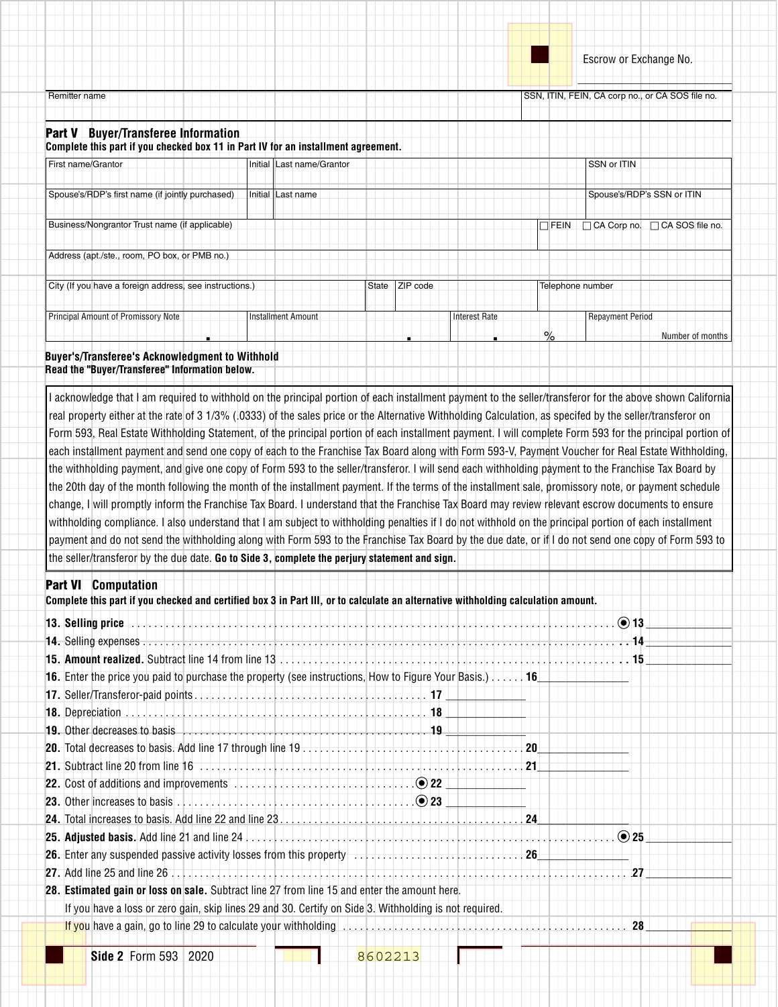$\overline{\phantom{a}}$  , and the set of the set of the set of the set of the set of the set of the set of the set of the set of the set of the set of the set of the set of the set of the set of the set of the set of the set of the s

Remitter name SSN, ITIN, FEIN, CA corp no., or CA SOS file no.

## Part V **Buyer/Transferee Information**

**Complete this part if you checked box 11 in Part IV for an installment agreement.** 

| First name/Grantor                                      | Initial Last name/Grantor |                      | SSN or ITIN                                              |
|---------------------------------------------------------|---------------------------|----------------------|----------------------------------------------------------|
| Spouse's/RDP's first name (if jointly purchased)        | Initial Last name         |                      | Spouse's/RDP's SSN or ITIN                               |
| Business/Nongrantor Trust hame (if applicable)          |                           |                      | $\Box$ CA Corp no. $\Box$ CA SOS file no.<br>$\Box$ FEIN |
| Address (apt./ste., room, PO box, or PMB no.)           |                           |                      |                                                          |
| City (If you have a foreign address, see instructions.) |                           | ZIP code<br>State    | Telephone number                                         |
| Principal Amount of Promissory Note                     | Installment Amount        | <b>Interest Rate</b> | <b>Repayment Period</b>                                  |

. . . % Number of months

## **Buyer's/Transferee's Acknowledgment to Withhold Read the "Buyer/Transferee" Information below.**

I acknowledge that I am required to withhold on the principal portion of each installment payment to the seller/transferor for the above shown California real property either at the rate of 3 1/3% (.0333) of the sales price or the Alternative Withholding Calculation, as specifed by the seller/transferor on Form 593, Real Estate Withholding Statement, of the principal portion of each installment payment. I will complete Form 593 for the principal portion of each installment payment and send one copy of each to the Franchise Tax Board along with Form 593-V, Payment Voucher for Real Estate Withholding, the withholding payment, and give one copy of Form 593 to the seller/transferor. I will send each withholding payment to the Franchise Tax Board by the 20th day of the month following the month of the installment payment. If the terms of the installment sale, promissory note, or payment schedule change, I will promptly inform the Franchise Tax Board. I understand that the Franchise Tax Board may review relevant escrow documents to ensure withholding compliance. I also understand that I am subject to withholding penalties if I do not withhold on the principal portion of each installment payment and do not send the withholding along with Form 593 to the Franchise Tax Board by the due date, or if I do not send one copy of Form 593 to the seller/transferor by the due date. **Go to Side 3, complete the perjury statement and sign.**

## Part VI **Computation**

| Complete this part if you checked and certified box 3 in Part III, or to calculate an alternative withholding calculation amount. |    |     |
|-----------------------------------------------------------------------------------------------------------------------------------|----|-----|
|                                                                                                                                   |    |     |
|                                                                                                                                   |    |     |
|                                                                                                                                   |    |     |
| <b>16.</b> Enter the price you paid to purchase the property (see instructions, How to Figure Your Basis.) 16                     |    |     |
|                                                                                                                                   |    |     |
|                                                                                                                                   |    |     |
|                                                                                                                                   |    |     |
|                                                                                                                                   |    |     |
|                                                                                                                                   | 21 |     |
|                                                                                                                                   |    |     |
|                                                                                                                                   |    |     |
|                                                                                                                                   |    |     |
|                                                                                                                                   |    |     |
|                                                                                                                                   |    |     |
|                                                                                                                                   |    | -27 |
| 28. Estimated gain or loss on sale. Subtract line 27 from line 15 and enter the amount here.                                      |    |     |
| If you have a loss or zero gain, skip lines 29 and 30. Certify on Side 3. Withholding is not required.                            |    |     |
|                                                                                                                                   |    | 28  |
|                                                                                                                                   |    |     |